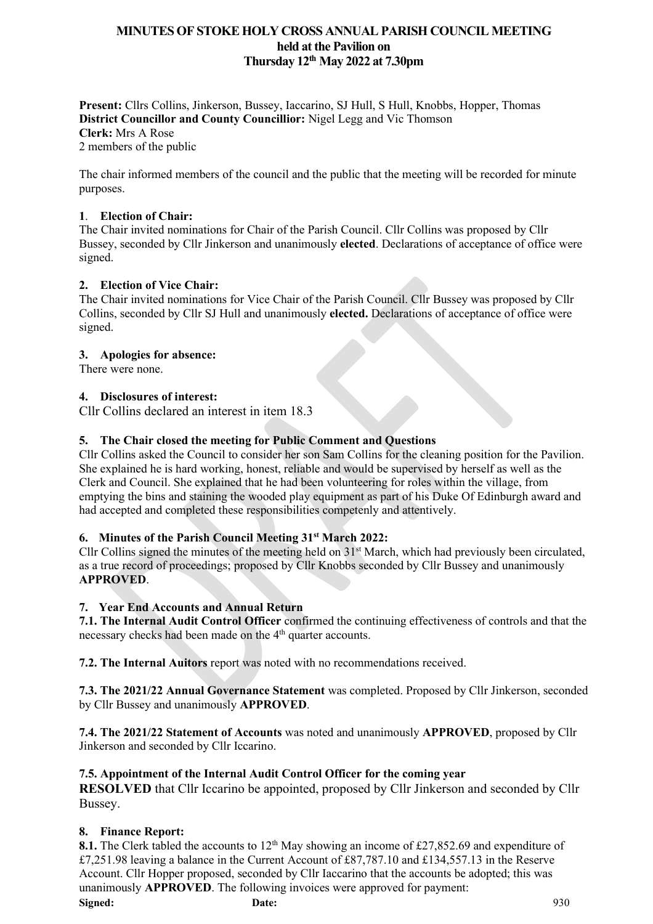**Present:** Cllrs Collins, Jinkerson, Bussey, Iaccarino, SJ Hull, S Hull, Knobbs, Hopper, Thomas **District Councillor and County Councillior:** Nigel Legg and Vic Thomson **Clerk:** Mrs A Rose 2 members of the public

The chair informed members of the council and the public that the meeting will be recorded for minute purposes.

#### **1**. **Election of Chair:**

The Chair invited nominations for Chair of the Parish Council. Cllr Collins was proposed by Cllr Bussey, seconded by Cllr Jinkerson and unanimously **elected**. Declarations of acceptance of office were signed.

## **2. Election of Vice Chair:**

The Chair invited nominations for Vice Chair of the Parish Council. Cllr Bussey was proposed by Cllr Collins, seconded by Cllr SJ Hull and unanimously **elected.** Declarations of acceptance of office were signed.

#### **3. Apologies for absence:**

There were none.

#### **4. Disclosures of interest:**

Cllr Collins declared an interest in item 18.3

#### **5. The Chair closed the meeting for Public Comment and Questions**

Cllr Collins asked the Council to consider her son Sam Collins for the cleaning position for the Pavilion. She explained he is hard working, honest, reliable and would be supervised by herself as well as the Clerk and Council. She explained that he had been volunteering for roles within the village, from emptying the bins and staining the wooded play equipment as part of his Duke Of Edinburgh award and had accepted and completed these responsibilities competenly and attentively.

## **6. Minutes of the Parish Council Meeting 31st March 2022:**

Cllr Collins signed the minutes of the meeting held on 31<sup>st</sup> March, which had previously been circulated, as a true record of proceedings; proposed by Cllr Knobbs seconded by Cllr Bussey and unanimously **APPROVED**.

#### **7. Year End Accounts and Annual Return**

**7.1. The Internal Audit Control Officer** confirmed the continuing effectiveness of controls and that the necessary checks had been made on the 4<sup>th</sup> quarter accounts.

**7.2. The Internal Auitors** report was noted with no recommendations received.

**7.3. The 2021/22 Annual Governance Statement** was completed. Proposed by Cllr Jinkerson, seconded by Cllr Bussey and unanimously **APPROVED**.

**7.4. The 2021/22 Statement of Accounts** was noted and unanimously **APPROVED**, proposed by Cllr Jinkerson and seconded by Cllr Iccarino.

#### **7.5. Appointment of the Internal Audit Control Officer for the coming year**

**RESOLVED** that Cllr Iccarino be appointed, proposed by Cllr Jinkerson and seconded by Cllr Bussey.

#### **8. Finance Report:**

8.1. The Clerk tabled the accounts to 12<sup>th</sup> May showing an income of £27,852.69 and expenditure of £7,251.98 leaving a balance in the Current Account of £87,787.10 and £134,557.13 in the Reserve Account. Cllr Hopper proposed, seconded by Cllr Iaccarino that the accounts be adopted; this was unanimously **APPROVED**. The following invoices were approved for payment:

**Signed: Date:** 930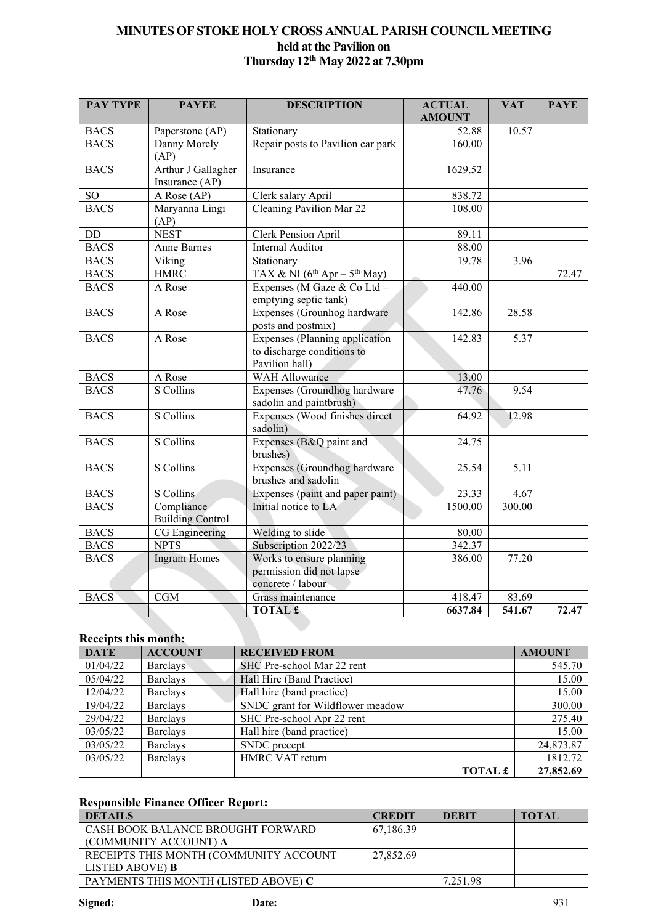| <b>PAY TYPE</b> | <b>PAYEE</b>                          | <b>DESCRIPTION</b>                                                                    | <b>ACTUAL</b> | <b>VAT</b>        | <b>PAYE</b> |
|-----------------|---------------------------------------|---------------------------------------------------------------------------------------|---------------|-------------------|-------------|
|                 |                                       |                                                                                       | <b>AMOUNT</b> |                   |             |
| <b>BACS</b>     | Paperstone (AP)                       | Stationary                                                                            | 52.88         | 10.57             |             |
| <b>BACS</b>     | Danny Morely<br>(AP)                  | Repair posts to Pavilion car park                                                     | 160.00        |                   |             |
| <b>BACS</b>     | Arthur J Gallagher<br>Insurance (AP)  | Insurance                                                                             | 1629.52       |                   |             |
| $\rm SO$        | A Rose (AP)                           | Clerk salary April                                                                    | 838.72        |                   |             |
| <b>BACS</b>     | Maryanna Lingi<br>(AP)                | Cleaning Pavilion Mar 22                                                              | 108.00        |                   |             |
| $\rm DD$        | <b>NEST</b>                           | Clerk Pension April                                                                   | 89.11         |                   |             |
| <b>BACS</b>     | <b>Anne Barnes</b>                    | <b>Internal Auditor</b>                                                               | 88.00         |                   |             |
| <b>BACS</b>     | Viking                                | Stationary                                                                            | 19.78         | 3.96              |             |
| <b>BACS</b>     | <b>HMRC</b>                           | TAX & NI $(6^{th}$ Apr - $5^{th}$ May)                                                |               |                   | 72.47       |
| <b>BACS</b>     | A Rose                                | Expenses (M Gaze & Co Ltd -<br>emptying septic tank)                                  | 440.00        |                   |             |
| <b>BACS</b>     | A Rose                                | Expenses (Grounhog hardware<br>posts and postmix)                                     | 142.86        | 28.58             |             |
| <b>BACS</b>     | A Rose                                | <b>Expenses</b> (Planning application<br>to discharge conditions to<br>Pavilion hall) | 142.83        | 5.37              |             |
| <b>BACS</b>     | A Rose                                | <b>WAH Allowance</b>                                                                  | 13.00         |                   |             |
| <b>BACS</b>     | S Collins                             | Expenses (Groundhog hardware<br>sadolin and paintbrush)                               | 47.76         | 9.54              |             |
| <b>BACS</b>     | S Collins                             | Expenses (Wood finishes direct<br>sadolin)                                            | 64.92         | 12.98             |             |
| <b>BACS</b>     | S Collins                             | Expenses (B&Q paint and<br>brushes)                                                   | 24.75         |                   |             |
| <b>BACS</b>     | S Collins                             | Expenses (Groundhog hardware<br>brushes and sadolin                                   | 25.54         | $\overline{5.11}$ |             |
| <b>BACS</b>     | S Collins                             | Expenses (paint and paper paint)                                                      | 23.33         | 4.67              |             |
| <b>BACS</b>     | Compliance<br><b>Building Control</b> | Initial notice to LA                                                                  | 1500.00       | 300.00            |             |
| <b>BACS</b>     | CG Engineering                        | Welding to slide                                                                      | 80.00         |                   |             |
| <b>BACS</b>     | <b>NPTS</b>                           | Subscription 2022/23                                                                  | 342.37        |                   |             |
| <b>BACS</b>     | <b>Ingram Homes</b>                   | Works to ensure planning<br>permission did not lapse<br>concrete / labour             | 386.00        | 77.20             |             |
| <b>BACS</b>     | $\overline{\text{CGM}}$               | Grass maintenance                                                                     | 418.47        | 83.69             |             |
|                 |                                       | <b>TOTAL £</b>                                                                        | 6637.84       | 541.67            | 72.47       |

# **Receipts this month:**

| <b>DATE</b> | <b>ACCOUNT</b>  | <b>RECEIVED FROM</b>             | <b>AMOUNT</b> |
|-------------|-----------------|----------------------------------|---------------|
| 01/04/22    | Barclays        | SHC Pre-school Mar 22 rent       | 545.70        |
| 05/04/22    | <b>Barclays</b> | Hall Hire (Band Practice)        | 15.00         |
| 12/04/22    | <b>Barclays</b> | Hall hire (band practice)        | 15.00         |
| 19/04/22    | <b>Barclays</b> | SNDC grant for Wildflower meadow | 300.00        |
| 29/04/22    | <b>Barclays</b> | SHC Pre-school Apr 22 rent       | 275.40        |
| 03/05/22    | <b>Barclays</b> | Hall hire (band practice)        | 15.00         |
| 03/05/22    | <b>Barclays</b> | SNDC precept                     | 24,873.87     |
| 03/05/22    | <b>Barclays</b> | HMRC VAT return                  | 1812.72       |
|             |                 | <b>TOTAL</b>                     | 27,852.69     |

# **Responsible Finance Officer Report:**

| <b>DETAILS</b>                         | <b>CREDIT</b> | <b>DEBIT</b> | <b>TOTAL</b> |
|----------------------------------------|---------------|--------------|--------------|
| CASH BOOK BALANCE BROUGHT FORWARD      | 67,186.39     |              |              |
| (COMMUNITY ACCOUNT) A                  |               |              |              |
| RECEIPTS THIS MONTH (COMMUNITY ACCOUNT | 27,852.69     |              |              |
| LISTED ABOVE) <b>B</b>                 |               |              |              |
| PAYMENTS THIS MONTH (LISTED ABOVE) C   |               | 7.251.98     |              |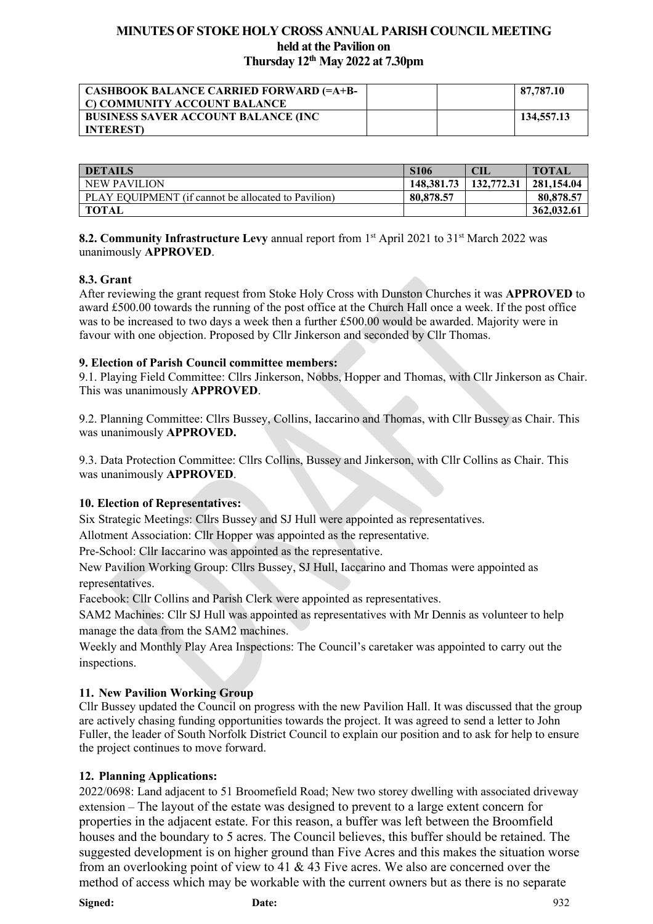| <b>CASHBOOK BALANCE CARRIED FORWARD (=A+B-</b><br>C) COMMUNITY ACCOUNT BALANCE |  | 87,787.10  |
|--------------------------------------------------------------------------------|--|------------|
| <b>BUSINESS SAVER ACCOUNT BALANCE (INC.</b><br><b>INTEREST</b>                 |  | 134,557.13 |

| <b>DETAILS</b>                                      | <b>S106</b> | CIL        | <b>TOTAL</b> |
|-----------------------------------------------------|-------------|------------|--------------|
| <b>NEW PAVILION</b>                                 | 148.381.73  | 132,772.31 | 281,154.04   |
| PLAY EQUIPMENT (if cannot be allocated to Pavilion) | 80,878,57   |            | 80,878.57    |
| TOTAL                                               |             |            | 362,032.61   |

**8.2. Community Infrastructure Levy** annual report from 1<sup>st</sup> April 2021 to 31<sup>st</sup> March 2022 was unanimously **APPROVED**.

## **8.3. Grant**

After reviewing the grant request from Stoke Holy Cross with Dunston Churches it was **APPROVED** to award £500.00 towards the running of the post office at the Church Hall once a week. If the post office was to be increased to two days a week then a further £500.00 would be awarded. Majority were in favour with one objection. Proposed by Cllr Jinkerson and seconded by Cllr Thomas.

#### **9. Election of Parish Council committee members:**

9.1. Playing Field Committee: Cllrs Jinkerson, Nobbs, Hopper and Thomas, with Cllr Jinkerson as Chair. This was unanimously **APPROVED**.

9.2. Planning Committee: Cllrs Bussey, Collins, Iaccarino and Thomas, with Cllr Bussey as Chair. This was unanimously **APPROVED.**

9.3. Data Protection Committee: Cllrs Collins, Bussey and Jinkerson, with Cllr Collins as Chair. This was unanimously **APPROVED**.

#### **10. Election of Representatives:**

Six Strategic Meetings: Cllrs Bussey and SJ Hull were appointed as representatives.

Allotment Association: Cllr Hopper was appointed as the representative.

Pre-School: Cllr Iaccarino was appointed as the representative.

New Pavilion Working Group: Cllrs Bussey, SJ Hull, Iaccarino and Thomas were appointed as representatives.

Facebook: Cllr Collins and Parish Clerk were appointed as representatives.

SAM2 Machines: Cllr SJ Hull was appointed as representatives with Mr Dennis as volunteer to help manage the data from the SAM2 machines.

Weekly and Monthly Play Area Inspections: The Council's caretaker was appointed to carry out the inspections.

## **11. New Pavilion Working Group**

Cllr Bussey updated the Council on progress with the new Pavilion Hall. It was discussed that the group are actively chasing funding opportunities towards the project. It was agreed to send a letter to John Fuller, the leader of South Norfolk District Council to explain our position and to ask for help to ensure the project continues to move forward.

## **12. Planning Applications:**

2022/0698: Land adjacent to 51 Broomefield Road; New two storey dwelling with associated driveway extension – The layout of the estate was designed to prevent to a large extent concern for properties in the adjacent estate. For this reason, a buffer was left between the Broomfield houses and the boundary to 5 acres. The Council believes, this buffer should be retained. The suggested development is on higher ground than Five Acres and this makes the situation worse from an overlooking point of view to 41 & 43 Five acres. We also are concerned over the method of access which may be workable with the current owners but as there is no separate

**Signed: Date:** 932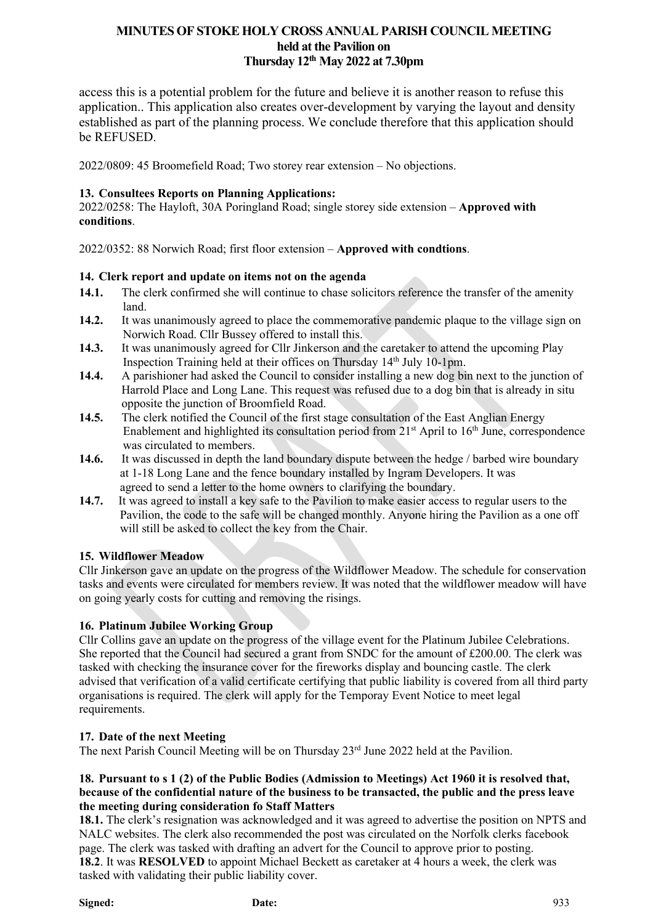access this is a potential problem for the future and believe it is another reason to refuse this application.. This application also creates over-development by varying the layout and density established as part of the planning process. We conclude therefore that this application should be REFUSED.

2022/0809: 45 Broomefield Road; Two storey rear extension – No objections.

## **13. Consultees Reports on Planning Applications:**

2022/0258: The Hayloft, 30A Poringland Road; single storey side extension – **Approved with conditions**.

2022/0352: 88 Norwich Road; first floor extension – **Approved with condtions**.

## **14. Clerk report and update on items not on the agenda**

- 14.1. The clerk confirmed she will continue to chase solicitors reference the transfer of the amenity  $\frac{1}{14.2}$  It was
- **14.2.** It was unanimously agreed to place the commemorative pandemic plaque to the village sign on Norwich Road. Cllr Bussey offered to install this.
- **14.3.** It was unanimously agreed for Cllr Jinkerson and the caretaker to attend the upcoming Play Inspection Training held at their offices on Thursday 14<sup>th</sup> July 10-1pm.
- **14.4.** A parishioner had asked the Council to consider installing a new dog bin next to the junction of Harrold Place and Long Lane. This request was refused due to a dog bin that is already in situ opposite the junction of Broomfield Road.
- **14.5.** The clerk notified the Council of the first stage consultation of the East Anglian Energy Enablement and highlighted its consultation period from  $21<sup>st</sup>$  April to  $16<sup>th</sup>$  June, correspondence was circulated to members.
- **14.6.** It was discussed in depth the land boundary dispute between the hedge / barbed wire boundary at 1-18 Long Lane and the fence boundary installed by Ingram Developers. It was agreed to send a letter to the home owners to clarifying the boundary.
- **14.7.** It was agreed to install a key safe to the Pavilion to make easier access to regular users to the Pavilion, the code to the safe will be changed monthly. Anyone hiring the Pavilion as a one off will still be asked to collect the key from the Chair.

## **15. Wildflower Meadow**

Cllr Jinkerson gave an update on the progress of the Wildflower Meadow. The schedule for conservation tasks and events were circulated for members review. It was noted that the wildflower meadow will have on going yearly costs for cutting and removing the risings.

## **16. Platinum Jubilee Working Group**

Cllr Collins gave an update on the progress of the village event for the Platinum Jubilee Celebrations. She reported that the Council had secured a grant from SNDC for the amount of £200.00. The clerk was tasked with checking the insurance cover for the fireworks display and bouncing castle. The clerk advised that verification of a valid certificate certifying that public liability is covered from all third party organisations is required. The clerk will apply for the Temporay Event Notice to meet legal requirements.

## **17. Date of the next Meeting**

The next Parish Council Meeting will be on Thursday 23<sup>rd</sup> June 2022 held at the Pavilion.

#### 18. Pursuant to s 1 (2) of the Public Bodies (Admission to Meetings) Act 1960 it is resolved that, **because of the confidential nature of the business to be transacted, the public and the press leave the meeting during consideration fo Staff Matters**

**18.1.** The clerk's resignation was acknowledged and it was agreed to advertise the position on NPTS and NALC websites. The clerk also recommended the post was circulated on the Norfolk clerks facebook page. The clerk was tasked with drafting an advert for the Council to approve prior to posting. **18.2**. It was **RESOLVED** to appoint Michael Beckett as caretaker at 4 hours a week, the clerk was tasked with validating their public liability cover.

**Signed: Date:** 933